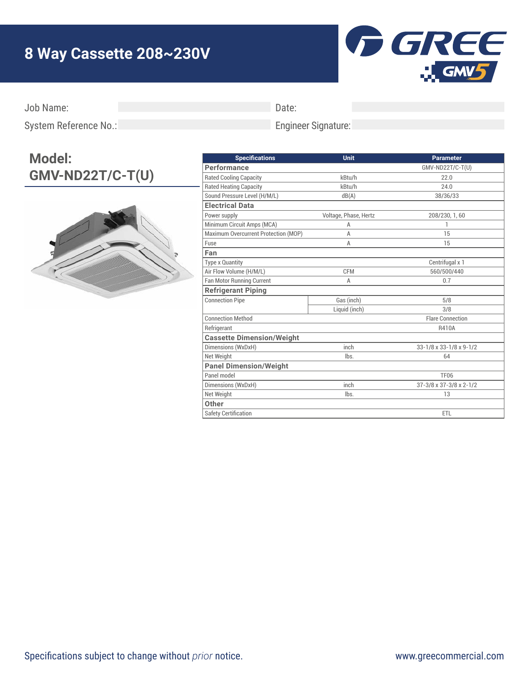## **8 Way Cassette 208~230V**



Job Name:

Date:

Engineer Signature:

System Reference No.:

## **Model: GMV-ND22T/C-T(U)**



| <b>Specifications</b>                | Unit                  | <b>Parameter</b>        |
|--------------------------------------|-----------------------|-------------------------|
| Performance                          |                       | GMV-ND22T/C-T(U)        |
| <b>Rated Cooling Capacity</b>        | kBtu/h                | 22.0                    |
| <b>Rated Heating Capacity</b>        | kBtu/h                | 24.0                    |
| Sound Pressure Level (H/M/L)         | dB(A)                 | 38/36/33                |
| <b>Electrical Data</b>               |                       |                         |
| Power supply                         | Voltage, Phase, Hertz | 208/230, 1, 60          |
| Minimum Circuit Amps (MCA)           | A                     | 1                       |
| Maximum Overcurrent Protection (MOP) | A                     | 15                      |
| Fuse                                 | A                     | 15                      |
| Fan                                  |                       |                         |
| <b>Type x Quantity</b>               |                       | Centrifugal x 1         |
| Air Flow Volume (H/M/L)              | <b>CFM</b>            | 560/500/440             |
| Fan Motor Running Current            | A                     | 0.7                     |
| <b>Refrigerant Piping</b>            |                       |                         |
| <b>Connection Pipe</b>               | Gas (inch)            | 5/8                     |
|                                      | Liquid (inch)         | 3/8                     |
| <b>Connection Method</b>             |                       | <b>Flare Connection</b> |
| Refrigerant                          |                       | R410A                   |
| <b>Cassette Dimension/Weight</b>     |                       |                         |
| Dimensions (WxDxH)                   | inch                  | 33-1/8 x 33-1/8 x 9-1/2 |
| Net Weight                           | lbs.                  | 64                      |
| <b>Panel Dimension/Weight</b>        |                       |                         |
| Panel model                          |                       | <b>TF06</b>             |
| Dimensions (WxDxH)                   | inch                  | 37-3/8 x 37-3/8 x 2-1/2 |
| Net Weight                           | lbs.                  | 13                      |
| Other                                |                       |                         |
| <b>Safety Certification</b>          |                       | ETL                     |